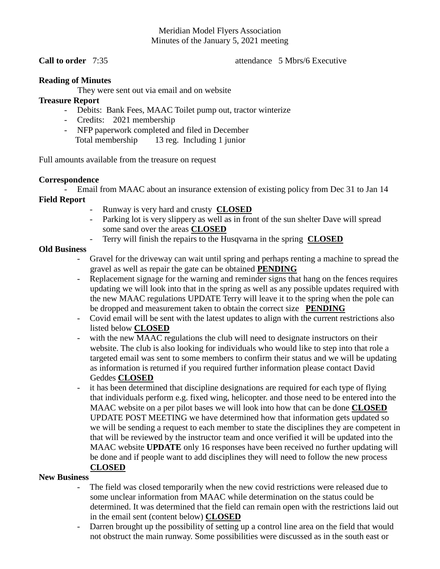# Meridian Model Flyers Association Minutes of the January 5, 2021 meeting

**Call to order** 7:35 **attendance** 5 Mbrs/6 Executive

## **Reading of Minutes**

They were sent out via email and on website

## **Treasure Report**

- Debits: Bank Fees, MAAC Toilet pump out, tractor winterize
- Credits: 2021 membership
- NFP paperwork completed and filed in December Total membership 13 reg. Including 1 junior

Full amounts available from the treasure on request

#### **Correspondence**

- Email from MAAC about an insurance extension of existing policy from Dec 31 to Jan 14

- **Field Report**
	- Runway is very hard and crusty **CLOSED**
	- Parking lot is very slippery as well as in front of the sun shelter Dave will spread some sand over the areas **CLOSED**
	- Terry will finish the repairs to the Husqvarna in the spring **CLOSED**

## **Old Business**

- Gravel for the driveway can wait until spring and perhaps renting a machine to spread the gravel as well as repair the gate can be obtained **PENDING**
- Replacement signage for the warning and reminder signs that hang on the fences requires updating we will look into that in the spring as well as any possible updates required with the new MAAC regulations UPDATE Terry will leave it to the spring when the pole can be dropped and measurement taken to obtain the correct size **PENDING**
- Covid email will be sent with the latest updates to align with the current restrictions also listed below **CLOSED**
- with the new MAAC regulations the club will need to designate instructors on their website. The club is also looking for individuals who would like to step into that role a targeted email was sent to some members to confirm their status and we will be updating as information is returned if you required further information please contact David Geddes **CLOSED**
- it has been determined that discipline designations are required for each type of flying that individuals perform e.g. fixed wing, helicopter. and those need to be entered into the MAAC website on a per pilot bases we will look into how that can be done **CLOSED** UPDATE POST MEETING we have determined how that information gets updated so we will be sending a request to each member to state the disciplines they are competent in that will be reviewed by the instructor team and once verified it will be updated into the MAAC website **UPDATE** only 16 responses have been received no further updating will be done and if people want to add disciplines they will need to follow the new process **CLOSED**

#### **New Business**

- The field was closed temporarily when the new covid restrictions were released due to some unclear information from MAAC while determination on the status could be determined. It was determined that the field can remain open with the restrictions laid out in the email sent (content below) **CLOSED**
- Darren brought up the possibility of setting up a control line area on the field that would not obstruct the main runway. Some possibilities were discussed as in the south east or